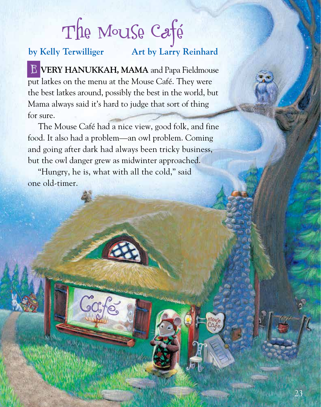## The Mouse Café

## **by Kelly Terwilliger Art by Larry Reinhard**

**E VERY HANUKKAH, MAMA** and Papa Fieldmouse put latkes on the menu at the Mouse Café. They were the best latkes around, possibly the best in the world, but Mama always said it's hard to judge that sort of thing for sure.

The Mouse Café had a nice view, good folk, and fine food. It also had a problem—an owl problem. Coming and going after dark had always been tricky business, but the owl danger grew as midwinter approached.

"Hungry, he is, what with all the cold," said one old-timer.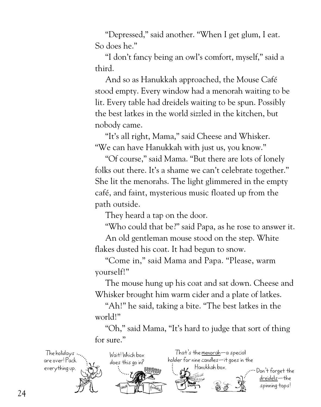"Depressed," said another. "When I get glum, I eat. So does he."

"I don't fancy being an owl's comfort, myself," said a third.

And so as Hanukkah approached, the Mouse Café stood empty. Every window had a menorah waiting to be lit. Every table had dreidels waiting to be spun. Possibly the best latkes in the world sizzled in the kitchen, but nobody came.

"It's all right, Mama," said Cheese and Whisker. "We can have Hanukkah with just us, you know."

"Of course," said Mama. "But there are lots of lonely folks out there. It's a shame we can't celebrate together." She lit the menorahs. The light glimmered in the empty café, and faint, mysterious music floated up from the path outside.

They heard a tap on the door.

"Who could that be?" said Papa, as he rose to answer it.

An old gentleman mouse stood on the step. White flakes dusted his coat. It had begun to snow.

"Come in," said Mama and Papa. "Please, warm yourself!"

The mouse hung up his coat and sat down. Cheese and Whisker brought him warm cider and a plate of latkes.

"Ah!" he said, taking a bite. "The best latkes in the world!"

"Oh," said Mama, "It's hard to judge that sort of thing for sure."

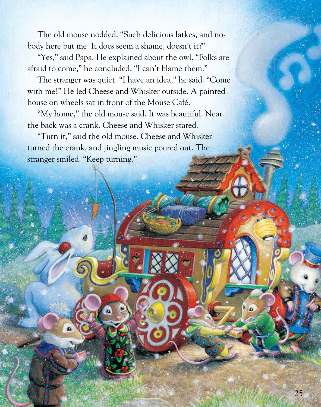The old mouse nodded. "Such delicious latkes, and nobody here but me. It does seem a shame, doesn't it?"

"Yes," said Papa. He explained about the owl. "Folks are afraid to come," he concluded. "I can't blame them."

The stranger was quiet. "I have an idea," he said. "Come with me!" He led Cheese and Whisker outside. A painted house on wheels sat in front of the Mouse Café.

"My home," the old mouse said. It was beautiful. Near the back was a crank. Cheese and Whisker stared.

"Turn it," said the old mouse. Cheese and Whisker turned the crank, and jingling music poured out. The stranger smiled. "Keep turning."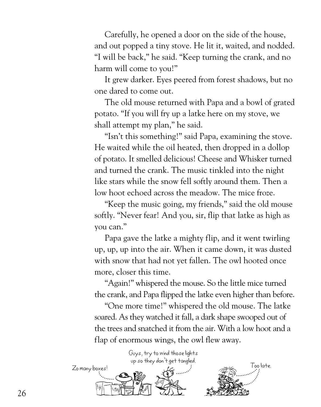Carefully, he opened a door on the side of the house, and out popped a tiny stove. He lit it, waited, and nodded. "I will be back," he said. "Keep turning the crank, and no harm will come to you!"

It grew darker. Eyes peered from forest shadows, but no one dared to come out.

The old mouse returned with Papa and a bowl of grated potato. "If you will fry up a latke here on my stove, we shall attempt my plan," he said.

"Isn't this something!" said Papa, examining the stove. He waited while the oil heated, then dropped in a dollop of potato. It smelled delicious! Cheese and Whisker turned and turned the crank. The music tinkled into the night like stars while the snow fell softly around them. Then a low hoot echoed across the meadow. The mice froze.

"Keep the music going, my friends," said the old mouse softly. "Never fear! And you, sir, flip that latke as high as you can."

Papa gave the latke a mighty flip, and it went twirling up, up, up into the air. When it came down, it was dusted with snow that had not yet fallen. The owl hooted once more, closer this time.

"Again!" whispered the mouse. So the little mice turned the crank, and Papa flipped the latke even higher than before.

"One more time!" whispered the old mouse. The latke soared. As they watched it fall, a dark shape swooped out of the trees and snatched it from the air. With a low hoot and a flap of enormous wings, the owl flew away.

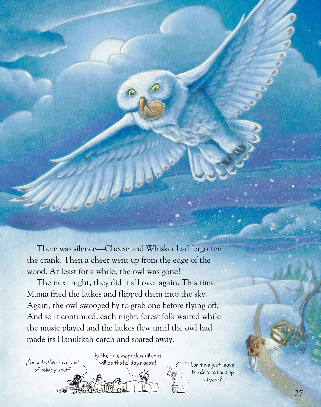There was silence—Cheese and Whisker had forgotten the crank. Then a cheer went up from the edge of the wood. At least for a while, the owl was gone!

The next night, they did it all over again. This time Mama fried the latkes and flipped them into the sky. Again, the owl swooped by to grab one before flying off. And so it continued: each night, forest folk waited while the music played and the latkes flew until the owl had made its Hanukkah catch and soared away.

By the time we pack it all up it

¡Caramba! We have a lot of holiday stuff.

will be the holidays again!  $\begin{array}{cc} \n\therefore & \n\end{array}$  :  $\begin{array}{cc} \n\therefore & \n\end{array}$  Can't we just leave the decorations up all year?